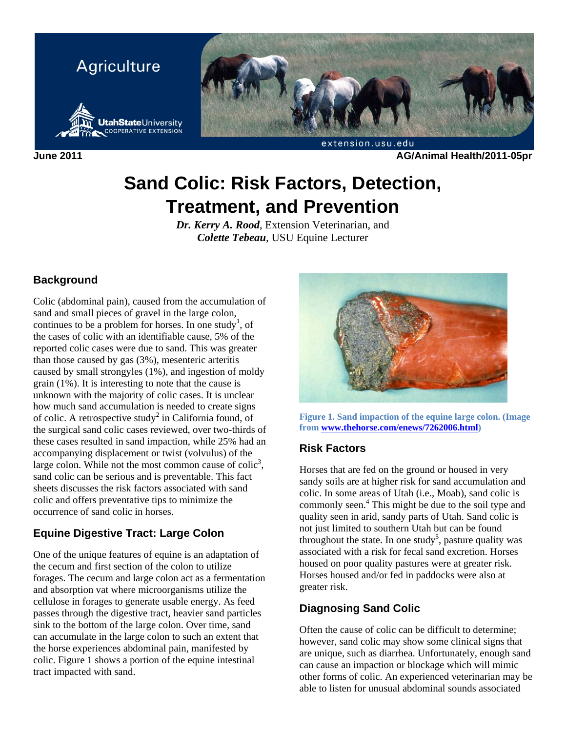

**June 2011 AG/Animal Health/2011-05pr** 

# **Sand Colic: Risk Factors, Detection, Treatment, and Prevention**

*Dr. Kerry A. Rood*, Extension Veterinarian, and *Colette Tebeau*, USU Equine Lecturer

## **Background**

Colic (abdominal pain), caused from the accumulation of sand and small pieces of gravel in the large colon, continues to be a problem for horses. In one study<sup>1</sup>, of the cases of colic with an identifiable cause, 5% of the reported colic cases were due to sand. This was greater than those caused by gas (3%), mesenteric arteritis caused by small strongyles (1%), and ingestion of moldy grain (1%). It is interesting to note that the cause is unknown with the majority of colic cases. It is unclear how much sand accumulation is needed to create signs of colic. A retrospective study<sup>2</sup> in California found, of the surgical sand colic cases reviewed, over two-thirds of these cases resulted in sand impaction, while 25% had an accompanying displacement or twist (volvulus) of the large colon. While not the most common cause of colic<sup>3</sup>, sand colic can be serious and is preventable. This fact sheets discusses the risk factors associated with sand colic and offers preventative tips to minimize the occurrence of sand colic in horses.

## **Equine Digestive Tract: Large Colon**

One of the unique features of equine is an adaptation of the cecum and first section of the colon to utilize forages. The cecum and large colon act as a fermentation and absorption vat where microorganisms utilize the cellulose in forages to generate usable energy. As feed passes through the digestive tract, heavier sand particles sink to the bottom of the large colon. Over time, sand can accumulate in the large colon to such an extent that the horse experiences abdominal pain, manifested by colic. Figure 1 shows a portion of the equine intestinal tract impacted with sand.



**Figure 1. Sand impaction of the equine large colon. (Image from www.thehorse.com/enews/7262006.html)** 

### **Risk Factors**

Horses that are fed on the ground or housed in very sandy soils are at higher risk for sand accumulation and colic. In some areas of Utah (i.e., Moab), sand colic is commonly seen.<sup>4</sup> This might be due to the soil type and quality seen in arid, sandy parts of Utah. Sand colic is not just limited to southern Utah but can be found throughout the state. In one study<sup>5</sup>, pasture quality was associated with a risk for fecal sand excretion. Horses housed on poor quality pastures were at greater risk. Horses housed and/or fed in paddocks were also at greater risk.

## **Diagnosing Sand Colic**

Often the cause of colic can be difficult to determine; however, sand colic may show some clinical signs that are unique, such as diarrhea. Unfortunately, enough sand can cause an impaction or blockage which will mimic other forms of colic. An experienced veterinarian may be able to listen for unusual abdominal sounds associated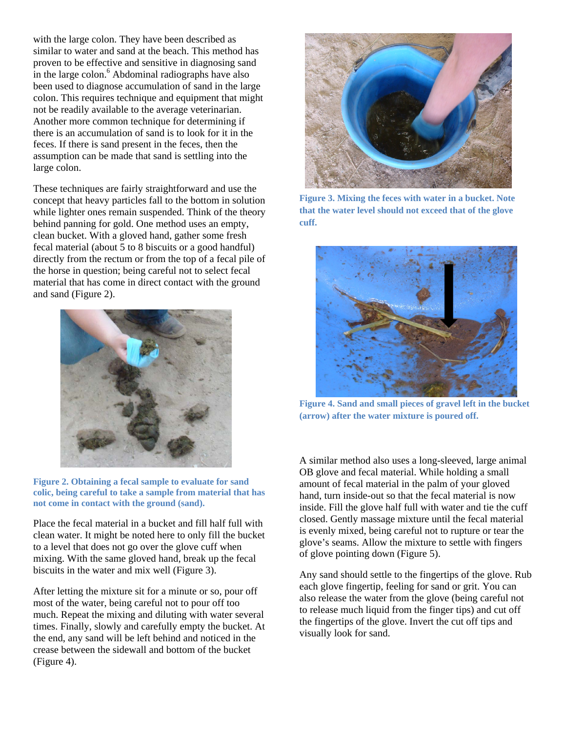with the large colon. They have been described as similar to water and sand at the beach. This method has proven to be effective and sensitive in diagnosing sand in the large colon. $<sup>6</sup>$  Abdominal radiographs have also</sup> been used to diagnose accumulation of sand in the large colon. This requires technique and equipment that might not be readily available to the average veterinarian. Another more common technique for determining if there is an accumulation of sand is to look for it in the feces. If there is sand present in the feces, then the assumption can be made that sand is settling into the large colon.

These techniques are fairly straightforward and use the concept that heavy particles fall to the bottom in solution while lighter ones remain suspended. Think of the theory behind panning for gold. One method uses an empty, clean bucket. With a gloved hand, gather some fresh fecal material (about 5 to 8 biscuits or a good handful) directly from the rectum or from the top of a fecal pile of the horse in question; being careful not to select fecal material that has come in direct contact with the ground and sand (Figure 2).



**Figure 2. Obtaining a fecal sample to evaluate for sand colic, being careful to take a sample from material that has not come in contact with the ground (sand).** 

Place the fecal material in a bucket and fill half full with clean water. It might be noted here to only fill the bucket to a level that does not go over the glove cuff when mixing. With the same gloved hand, break up the fecal biscuits in the water and mix well (Figure 3).

After letting the mixture sit for a minute or so, pour off most of the water, being careful not to pour off too much. Repeat the mixing and diluting with water several times. Finally, slowly and carefully empty the bucket. At the end, any sand will be left behind and noticed in the crease between the sidewall and bottom of the bucket (Figure 4).



**Figure 3. Mixing the feces with water in a bucket. Note that the water level should not exceed that of the glove cuff.** 



**Figure 4. Sand and small pieces of gravel left in the bucket (arrow) after the water mixture is poured off.** 

A similar method also uses a long-sleeved, large animal OB glove and fecal material. While holding a small amount of fecal material in the palm of your gloved hand, turn inside-out so that the fecal material is now inside. Fill the glove half full with water and tie the cuff closed. Gently massage mixture until the fecal material is evenly mixed, being careful not to rupture or tear the glove's seams. Allow the mixture to settle with fingers of glove pointing down (Figure 5).

Any sand should settle to the fingertips of the glove. Rub each glove fingertip, feeling for sand or grit. You can also release the water from the glove (being careful not to release much liquid from the finger tips) and cut off the fingertips of the glove. Invert the cut off tips and visually look for sand.